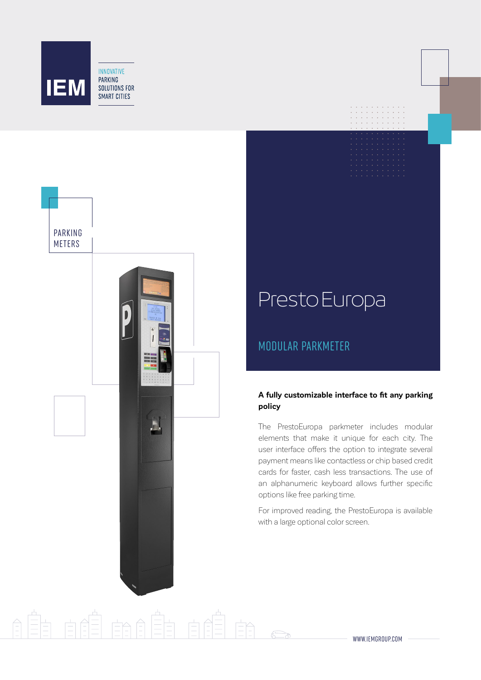





ÈA

# PrestoEuropa

## MODULAR PARKMETER

### **A fully customizable interface to fit any parking policy**

The PrestoEuropa parkmeter includes modular elements that make it unique for each city. The user interface offers the option to integrate several payment means like contactless or chip based credit cards for faster, cash less transactions. The use of an alphanumeric keyboard allows further specific options like free parking time.

For improved reading, the PrestoEuropa is available with a large optional color screen.